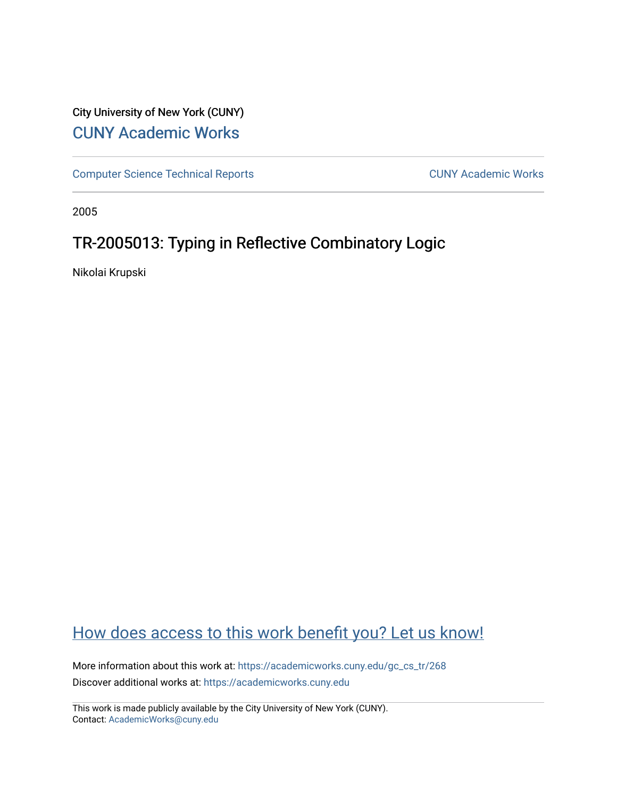## City University of New York (CUNY) [CUNY Academic Works](https://academicworks.cuny.edu/)

[Computer Science Technical Reports](https://academicworks.cuny.edu/gc_cs_tr) **CUNY Academic Works** CUNY Academic Works

2005

## TR-2005013: Typing in Reflective Combinatory Logic

Nikolai Krupski

## [How does access to this work benefit you? Let us know!](http://ols.cuny.edu/academicworks/?ref=https://academicworks.cuny.edu/gc_cs_tr/268)

More information about this work at: [https://academicworks.cuny.edu/gc\\_cs\\_tr/268](https://academicworks.cuny.edu/gc_cs_tr/268)  Discover additional works at: [https://academicworks.cuny.edu](https://academicworks.cuny.edu/?)

This work is made publicly available by the City University of New York (CUNY). Contact: [AcademicWorks@cuny.edu](mailto:AcademicWorks@cuny.edu)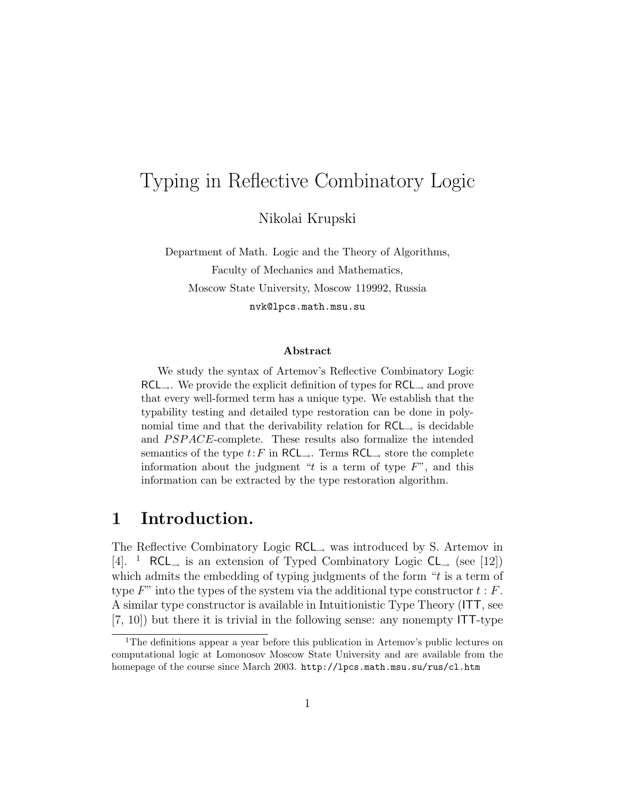# Typing in Reflective Combinatory Logic

Nikolai Krupski

Department of Math. Logic and the Theory of Algorithms, Faculty of Mechanics and Mathematics, Moscow State University, Moscow 119992, Russia nvk@lpcs.math.msu.su

#### Abstract

We study the syntax of Artemov's Reflective Combinatory Logic  $RCL_{\rightarrow}$ . We provide the explicit definition of types for  $RCL_{\rightarrow}$  and prove that every well-formed term has a unique type. We establish that the typability testing and detailed type restoration can be done in polynomial time and that the derivability relation for  $RCL$  is decidable and *PSPACE*-complete. These results also formalize the intended semantics of the type  $t: F$  in RCL<sub>→</sub>. Terms RCL<sub>→</sub> store the complete information about the judgment " $t$  is a term of type  $F$ ", and this information can be extracted by the type restoration algorithm.

## 1 Introduction.

The Reflective Combinatory Logic RCL<sup>→</sup> was introduced by S. Artemov in [4]. <sup>1</sup> RCL<sub>→</sub> is an extension of Typed Combinatory Logic  $CL$ <sub>→</sub> (see [12]) which admits the embedding of typing judgments of the form " $t$  is a term of type  $F$ " into the types of the system via the additional type constructor  $t : F$ . A similar type constructor is available in Intuitionistic Type Theory (ITT, see [7, 10]) but there it is trivial in the following sense: any nonempty ITT-type

<sup>&</sup>lt;sup>1</sup>The definitions appear a year before this publication in Artemov's public lectures on computational logic at Lomonosov Moscow State University and are available from the homepage of the course since March 2003. http://lpcs.math.msu.su/rus/cl.htm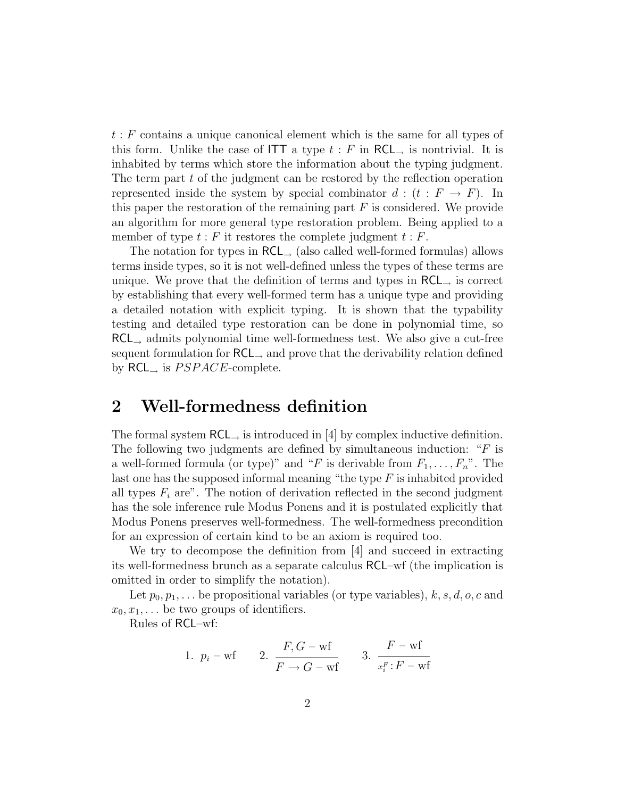t : F contains a unique canonical element which is the same for all types of this form. Unlike the case of ITT a type  $t : F$  in RCL<sub>→</sub> is nontrivial. It is inhabited by terms which store the information about the typing judgment. The term part t of the judgment can be restored by the reflection operation represented inside the system by special combinator  $d : (t : F \rightarrow F)$ . In this paper the restoration of the remaining part  $F$  is considered. We provide an algorithm for more general type restoration problem. Being applied to a member of type  $t : F$  it restores the complete judgment  $t : F$ .

The notation for types in  $RCL_{\rightarrow}$  (also called well-formed formulas) allows terms inside types, so it is not well-defined unless the types of these terms are unique. We prove that the definition of terms and types in  $RCL$  is correct by establishing that every well-formed term has a unique type and providing a detailed notation with explicit typing. It is shown that the typability testing and detailed type restoration can be done in polynomial time, so RCL<sup>→</sup> admits polynomial time well-formedness test. We also give a cut-free sequent formulation for RCL<sup>→</sup> and prove that the derivability relation defined by  $RCL_{\rightarrow}$  is  $PSPACE$ -complete.

## 2 Well-formedness definition

The formal system  $RCL$ , is introduced in [4] by complex inductive definition. The following two judgments are defined by simultaneous induction: " $F$  is a well-formed formula (or type)" and "F is derivable from  $F_1, \ldots, F_n$ ". The last one has the supposed informal meaning "the type  $F$  is inhabited provided all types  $F_i$  are". The notion of derivation reflected in the second judgment has the sole inference rule Modus Ponens and it is postulated explicitly that Modus Ponens preserves well-formedness. The well-formedness precondition for an expression of certain kind to be an axiom is required too.

We try to decompose the definition from [4] and succeed in extracting its well-formedness brunch as a separate calculus RCL–wf (the implication is omitted in order to simplify the notation).

Let  $p_0, p_1, \ldots$  be propositional variables (or type variables),  $k, s, d, o, c$  and  $x_0, x_1, \ldots$  be two groups of identifiers.

Rules of RCL–wf:

1. 
$$
p_i - wf
$$
 2.  $\frac{F,G-wf}{F\rightarrow G-wf}$  3.  $\frac{F-wf}{x_i^F:F-wf}$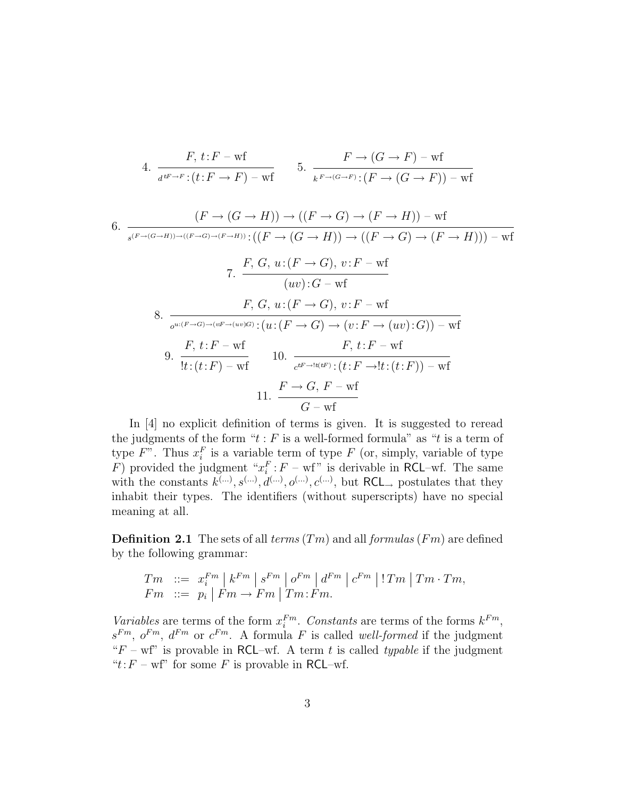4. 
$$
\frac{F, t: F - \text{wf}}{d^{tF \to F}: (t: F \to F) - \text{wf}} \qquad 5. \quad \frac{F \to (G \to F) - \text{wf}}{k^{F \to (G \to F)}: (F \to (G \to F)) - \text{wf}}
$$

6. 
$$
\frac{(F \to (G \to H)) \to ((F \to G) \to (F \to H)) - \text{wf}}{(F \to (G \to H)) \to ((F \to G) \to (F \to H))) - \text{wf}}
$$
  
\n7. 
$$
\frac{F, G, u:(F \to G), v:F - \text{wf}}{(uv):G - \text{wf}}
$$
  
\n8. 
$$
\frac{F, G, u:(F \to G), v:F - \text{wf}}{v:(F \to G) \to (v:F \to \text{wf})}
$$
  
\n9. 
$$
\frac{F, t:F - \text{wf}}{t:(t:F) - \text{wf}}
$$
  
\n10. 
$$
\frac{F \to G, F \to \text{tf}:F \to \text{wf}}{t:\text{tf}:F \to \text{tf}:E \to \text{wf}}
$$
  
\n11. 
$$
\frac{F \to G, F - \text{wf}}{G - \text{wf}}
$$

In [4] no explicit definition of terms is given. It is suggested to reread the judgments of the form " $t : F$  is a well-formed formula" as " $t$  is a term of type  $F$ ". Thus  $x_i^F$  is a variable term of type  $F$  (or, simply, variable of type F) provided the judgment " $x_i^F$ :  $F - wf$ " is derivable in RCL-wf. The same with the constants  $k^{(...)}, s^{(...)}, d^{(...)}, o^{(...)}$ ,  $c^{(...)},$  but  $RCL_{\rightarrow}$  postulates that they inhabit their types. The identifiers (without superscripts) have no special meaning at all.

**Definition 2.1** The sets of all terms  $(Tm)$  and all formulas  $(Fm)$  are defined by the following grammar:

$$
Tm \quad ::= \quad x_i^{Fm} \mid k^{Fm} \mid s^{Fm} \mid o^{Fm} \mid d^{Fm} \mid c^{Fm} \mid !Tm \mid Tm \cdot Tm,
$$
  
\n
$$
Fm \quad ::= \quad p_i \mid Fm \rightarrow Fm \mid Tm \colon Fm.
$$

Variables are terms of the form  $x_i^{Fm}$ . Constants are terms of the forms  $k^{Fm}$ ,  $s^{Fm}$ ,  $o^{Fm}$ ,  $d^{Fm}$  or  $c^{Fm}$ . A formula F is called well-formed if the judgment " $F - wf$ " is provable in RCL–wf. A term t is called typable if the judgment " $t$ :  $F$  – wf" for some  $F$  is provable in RCL–wf.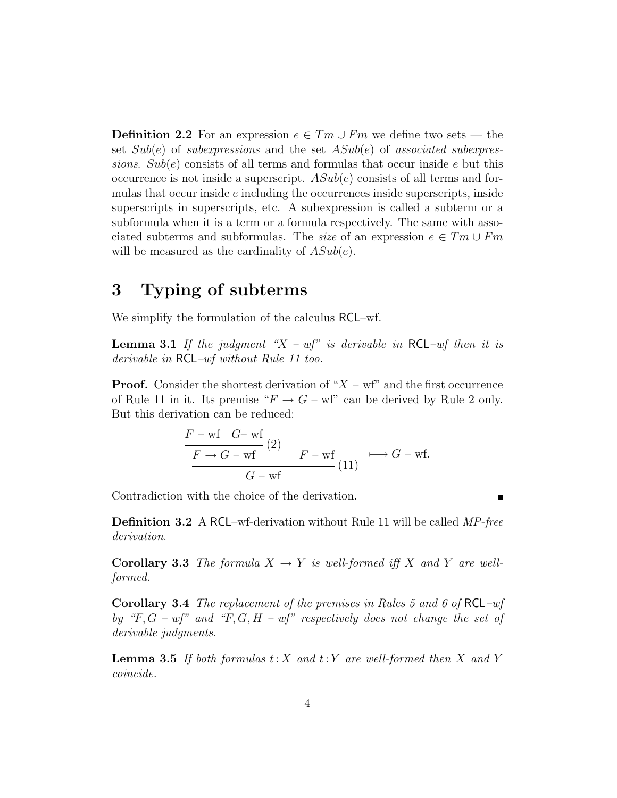**Definition 2.2** For an expression  $e \in Tm \cup Fm$  we define two sets — the set  $Sub(e)$  of subexpressions and the set  $ASub(e)$  of associated subexpressions.  $Sub(e)$  consists of all terms and formulas that occur inside e but this occurrence is not inside a superscript.  $ASub(e)$  consists of all terms and formulas that occur inside e including the occurrences inside superscripts, inside superscripts in superscripts, etc. A subexpression is called a subterm or a subformula when it is a term or a formula respectively. The same with associated subterms and subformulas. The *size* of an expression  $e \in Tm \cup Fm$ will be measured as the cardinality of  $ASub(e)$ .

## 3 Typing of subterms

We simplify the formulation of the calculus RCL–wf.

**Lemma 3.1** If the judgment " $X - wf$ " is derivable in RCL-wf then it is derivable in RCL–wf without Rule 11 too.

**Proof.** Consider the shortest derivation of " $X - wf$ " and the first occurrence of Rule 11 in it. Its premise " $F \to G - \text{wf}$ " can be derived by Rule 2 only. But this derivation can be reduced:

$$
\frac{F - wf \quad G - wf}{F \to G - wf} (2) \qquad F - wf \qquad \longrightarrow G - wf.
$$
\n(11)

Contradiction with the choice of the derivation.

Definition 3.2 A RCL–wf-derivation without Rule 11 will be called MP-free derivation.

**Corollary 3.3** The formula  $X \to Y$  is well-formed iff X and Y are wellformed.

Corollary 3.4 The replacement of the premises in Rules 5 and 6 of RCL–wf by "F,  $G - wf$ " and "F,  $G, H - wf$ " respectively does not change the set of derivable judgments.

**Lemma 3.5** If both formulas  $t: X$  and  $t: Y$  are well-formed then X and Y coincide.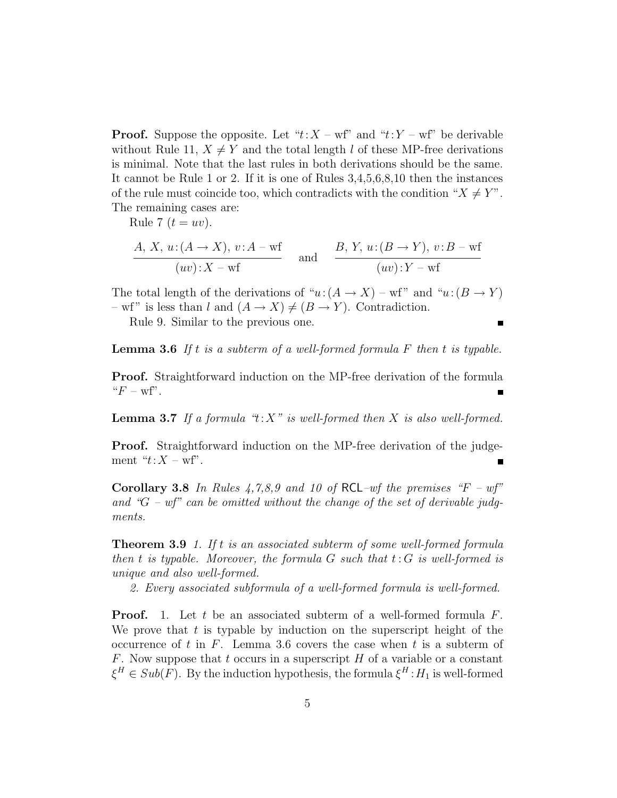**Proof.** Suppose the opposite. Let " $t: X - wf$ " and " $t: Y - wf$ " be derivable without Rule 11,  $X \neq Y$  and the total length l of these MP-free derivations is minimal. Note that the last rules in both derivations should be the same. It cannot be Rule 1 or 2. If it is one of Rules 3,4,5,6,8,10 then the instances of the rule must coincide too, which contradicts with the condition " $X \neq Y$ ". The remaining cases are:

Rule 7  $(t = uv)$ .

$$
\frac{A, X, u: (A \to X), v: A - wf}{(uv): X - wf} \quad \text{and} \quad \frac{B, Y, u: (B \to Y), v: B - wf}{(uv): Y - wf}
$$

The total length of the derivations of " $u:(A \to X)$  – wf" and " $u:(B \to Y)$ " – wf" is less than l and  $(A \to X) \neq (B \to Y)$ . Contradiction.

Rule 9. Similar to the previous one.

**Lemma 3.6** If t is a subterm of a well-formed formula  $F$  then t is typable.

Proof. Straightforward induction on the MP-free derivation of the formula  $"F - wf".$ 

**Lemma 3.7** If a formula " $t: X$ " is well-formed then X is also well-formed.

Proof. Straightforward induction on the MP-free derivation of the judgement " $t:X-wf$ ".

Corollary 3.8 In Rules  $4,7,8,9$  and 10 of RCL-wf the premises "F – wf" and " $G$  – wf" can be omitted without the change of the set of derivable judgments.

**Theorem 3.9** 1. If t is an associated subterm of some well-formed formula then t is typable. Moreover, the formula  $G$  such that  $t: G$  is well-formed is unique and also well-formed.

2. Every associated subformula of a well-formed formula is well-formed.

**Proof.** 1. Let t be an associated subterm of a well-formed formula  $F$ . We prove that  $t$  is typable by induction on the superscript height of the occurrence of t in  $F$ . Lemma 3.6 covers the case when t is a subterm of F. Now suppose that t occurs in a superscript  $H$  of a variable or a constant  $\xi^H \in Sub(F)$ . By the induction hypothesis, the formula  $\xi^H : H_1$  is well-formed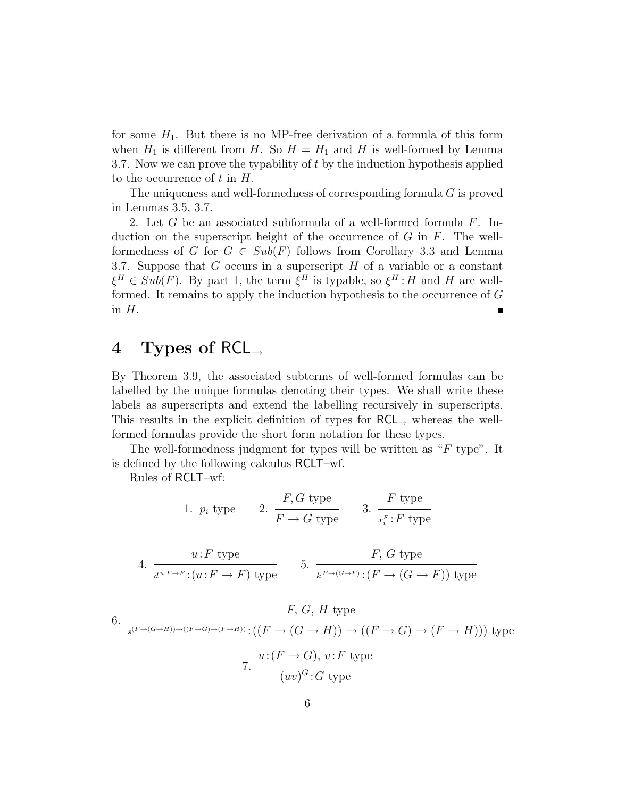for some  $H_1$ . But there is no MP-free derivation of a formula of this form when  $H_1$  is different from H. So  $H = H_1$  and H is well-formed by Lemma 3.7. Now we can prove the typability of t by the induction hypothesis applied to the occurrence of  $t$  in  $H$ .

The uniqueness and well-formedness of corresponding formula G is proved in Lemmas 3.5, 3.7.

2. Let  $G$  be an associated subformula of a well-formed formula  $F$ . Induction on the superscript height of the occurrence of  $G$  in  $F$ . The wellformedness of G for  $G \in Sub(F)$  follows from Corollary 3.3 and Lemma 3.7. Suppose that  $G$  occurs in a superscript  $H$  of a variable or a constant  $\xi^H \in Sub(F)$ . By part 1, the term  $\xi^H$  is typable, so  $\xi^H : H$  and H are wellformed. It remains to apply the induction hypothesis to the occurrence of G in  $H$ .

## 4 Types of RCL<sup>→</sup>

By Theorem 3.9, the associated subterms of well-formed formulas can be labelled by the unique formulas denoting their types. We shall write these labels as superscripts and extend the labelling recursively in superscripts. This results in the explicit definition of types for RCL<sup>→</sup> whereas the wellformed formulas provide the short form notation for these types.

The well-formedness judgment for types will be written as "F type". It is defined by the following calculus RCLT–wf.

Rules of RCLT–wf:

1. 
$$
p_i
$$
 type   
2.  $\frac{F, G \text{ type}}{F \to G \text{ type}}$  3.  $\frac{F \text{ type}}{x_i^F : F \text{ type}}$ 

4. 
$$
\frac{u: F \text{ type}}{d^{u:F \to F}: (u: F \to F) \text{ type}}
$$
5. 
$$
\frac{F, G \text{ type}}{k^{F \to (G \to F)}: (F \to (G \to F)) \text{ type}}
$$

6. 
$$
F, G, H \text{ type}
$$
\n
$$
s^{(F \to (G \to H)) \to ((F \to G) \to (F \to H)) : ((F \to (G \to H)) \to ((F \to G) \to (F \to H))) \text{ type}}
$$
\n
$$
7. \frac{u:(F \to G), v:F \text{ type}}{(uv)^G:G \text{ type}}
$$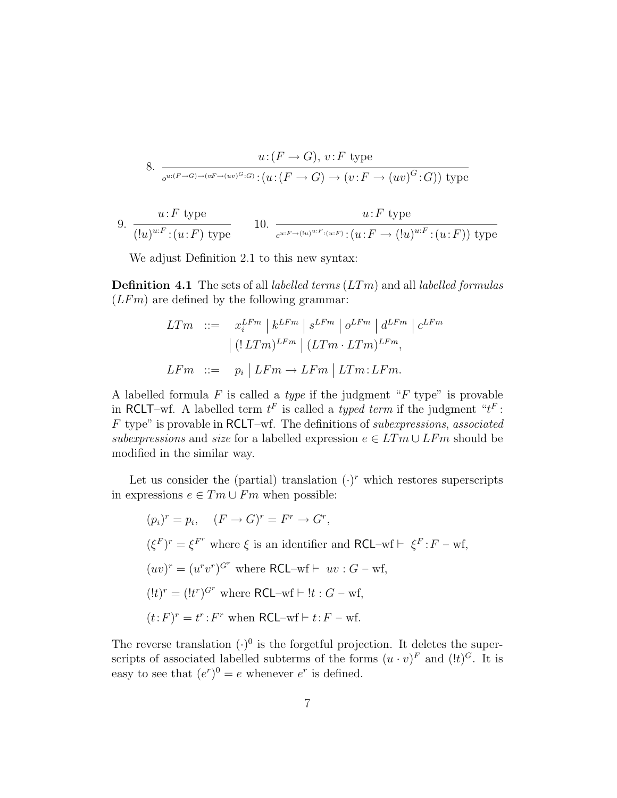8. 
$$
u: (F \to G), v: F \text{ type}
$$

$$
\sigma^{u: (F \to G) \to (vF \to (uv)^G:G)}: (u: (F \to G) \to (v: F \to (uv)^G:G)) \text{ type}
$$

9. 
$$
\frac{u: F \text{ type}}{([u)^{u:F}:(u:F) \text{ type}}
$$
 10.  $\frac{u: F \text{ type}}{c^{u:F \to (u)^{u:F}:(u:F)}:(u:F \to (!u)^{u:F}:(u:F)) \text{ type}}$ 

We adjust Definition 2.1 to this new syntax:

**Definition 4.1** The sets of all *labelled terms*  $(LTm)$  and all *labelled formulas*  $(LFm)$  are defined by the following grammar:

$$
LTm \ ::= \ x_i^{LFm} \mid k^{LFm} \mid s^{LFm} \mid o^{LFm} \mid d^{LFm} \mid c^{LFm}
$$

$$
\mid (!LTm)^{LFm} \mid (LTm \cdot LTm)^{LFm},
$$

$$
LFm \ ::= \ p_i \mid LFm \to LFm \mid LTm \colon LFm.
$$

A labelled formula  $F$  is called a *type* if the judgment " $F$  type" is provable in RCLT–wf. A labelled term  $t^F$  is called a *typed term* if the judgment " $t^F$ : F type" is provable in RCLT–wf. The definitions of subexpressions, associated subexpressions and size for a labelled expression  $e \in LTm \cup LFm$  should be modified in the similar way.

Let us consider the (partial) translation  $(\cdot)^r$  which restores superscripts in expressions  $e \in Tm \cup Fm$  when possible:

$$
(p_i)^r = p_i, \quad (F \to G)^r = F^r \to G^r,
$$
  
\n
$$
(\xi^F)^r = \xi^{F^r} \text{ where } \xi \text{ is an identifier and RCL-wf} \vdash \xi^F : F \to \text{wf},
$$
  
\n
$$
(uv)^r = (u^r v^r)^{G^r} \text{ where RCL-wf} \vdash uv : G \to \text{wf},
$$
  
\n
$$
(!t)^r = (!t^r)^{G^r} \text{ where RCL-wf} \vdash !t : G \to \text{wf},
$$
  
\n
$$
(t : F)^r = t^r : F^r \text{ when RCL-wf} \vdash t : F \to \text{wf}.
$$

The reverse translation  $(·)^0$  is the forgetful projection. It deletes the superscripts of associated labelled subterms of the forms  $(u \cdot v)^F$  and  $(lt)^G$ . It is easy to see that  $(e^r)^0 = e$  whenever  $e^r$  is defined.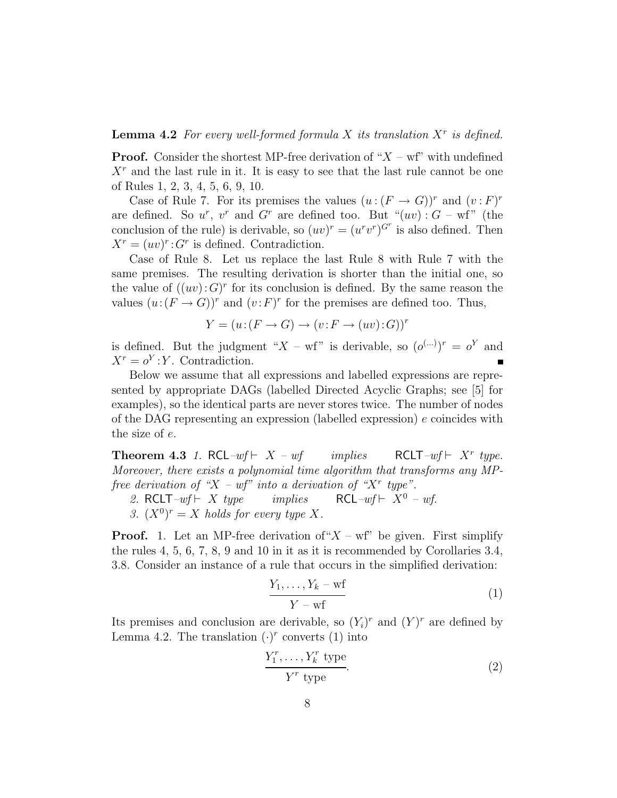**Lemma 4.2** For every well-formed formula X its translation  $X<sup>r</sup>$  is defined.

**Proof.** Consider the shortest MP-free derivation of " $X - wf$ " with undefined  $X<sup>r</sup>$  and the last rule in it. It is easy to see that the last rule cannot be one of Rules 1, 2, 3, 4, 5, 6, 9, 10.

Case of Rule 7. For its premises the values  $(u:(F \to G))^r$  and  $(v:F)^r$ are defined. So  $u^r$ ,  $v^r$  and  $G^r$  are defined too. But " $(uv)$ :  $G$  – wf" (the conclusion of the rule) is derivable, so  $(uv)^r = (u^r v^r)^{G^r}$  is also defined. Then  $X^r = (uv)^r$ :  $G^r$  is defined. Contradiction.

Case of Rule 8. Let us replace the last Rule 8 with Rule 7 with the same premises. The resulting derivation is shorter than the initial one, so the value of  $((uv):G)^r$  for its conclusion is defined. By the same reason the values  $(u:(F \to G))^r$  and  $(v:F)^r$  for the premises are defined too. Thus,

$$
Y = (u: (F \to G) \to (v: F \to (uv): G))^r
$$

is defined. But the judgment " $X - wf$ " is derivable, so  $(o^{(\dots)})^r = o^Y$  and  $X^r = o^Y : Y$ . Contradiction.

Below we assume that all expressions and labelled expressions are represented by appropriate DAGs (labelled Directed Acyclic Graphs; see [5] for examples), so the identical parts are never stores twice. The number of nodes of the DAG representing an expression (labelled expression)  $e$  coincides with the size of e.

**Theorem 4.3** 1. RCL–wf  $\vdash X - wf$  implies RCLT- $wf \vdash X^r$  type. Moreover, there exists a polynomial time algorithm that transforms any MPfree derivation of "X – wf" into a derivation of "X" type".

- 2. RCLT–wf  $\vdash X$  type implies RCL–wf  $\vdash X^0$  wf.
- 3.  $(X^0)^r = X$  holds for every type X.

**Proof.** 1. Let an MP-free derivation of " $X - wf$ " be given. First simplify the rules 4, 5, 6, 7, 8, 9 and 10 in it as it is recommended by Corollaries 3.4, 3.8. Consider an instance of a rule that occurs in the simplified derivation:

$$
\frac{Y_1, \ldots, Y_k - \text{wf}}{Y - \text{wf}} \tag{1}
$$

Its premises and conclusion are derivable, so  $(Y_i)^r$  and  $(Y)^r$  are defined by Lemma 4.2. The translation  $(\cdot)^r$  converts (1) into

$$
\frac{Y_1^r, \dots, Y_k^r \text{ type}}{Y^r \text{ type}}.\tag{2}
$$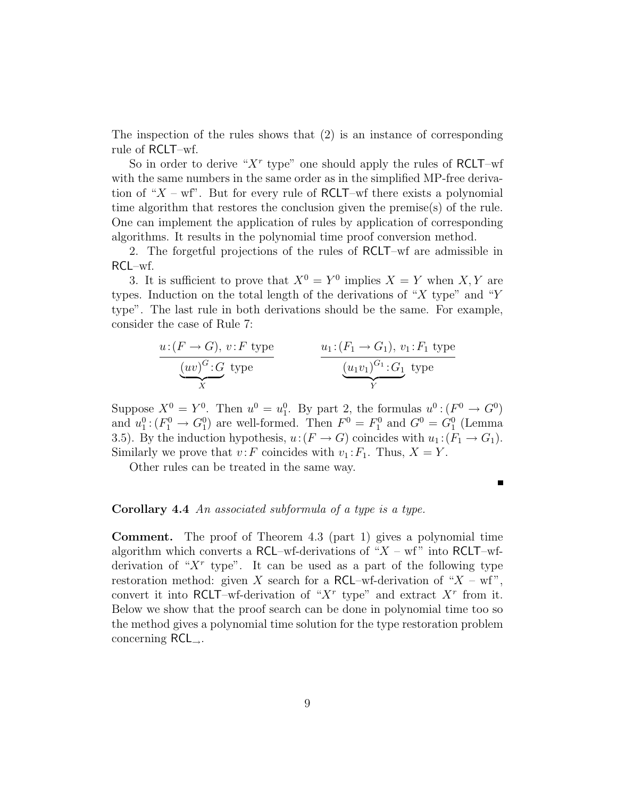The inspection of the rules shows that (2) is an instance of corresponding rule of RCLT–wf.

So in order to derive " $X<sup>r</sup>$  type" one should apply the rules of RCLT-wf with the same numbers in the same order as in the simplified MP-free derivation of " $X - wf$ ". But for every rule of RCLT–wf there exists a polynomial time algorithm that restores the conclusion given the premise(s) of the rule. One can implement the application of rules by application of corresponding algorithms. It results in the polynomial time proof conversion method.

2. The forgetful projections of the rules of RCLT–wf are admissible in RCL–wf.

3. It is sufficient to prove that  $X^0 = Y^0$  implies  $X = Y$  when X, Y are types. Induction on the total length of the derivations of "X type" and "Y type". The last rule in both derivations should be the same. For example, consider the case of Rule 7:

$$
\underbrace{u: (F \to G), v: F \text{ type}}_{X} \qquad \qquad \underbrace{u_1: (F_1 \to G_1), v_1: F_1 \text{ type}}_{Y} \qquad \underbrace{(u_1v_1)^{G_1}: G_1}_{Y} \text{ type}
$$

Suppose  $X^0 = Y^0$ . Then  $u^0 = u_1^0$ . By part 2, the formulas  $u^0 : (F^0 \to G^0)$ and  $u_1^0$ :  $(F_1^0 \rightarrow G_1^0)$  are well-formed. Then  $F^0 = F_1^0$  and  $G^0 = G_1^0$  (Lemma 3.5). By the induction hypothesis,  $u:(F \to G)$  coincides with  $u_1:(F_1 \to G_1)$ . Similarly we prove that  $v: F$  coincides with  $v_1: F_1$ . Thus,  $X = Y$ .

Other rules can be treated in the same way.

#### Corollary 4.4 An associated subformula of a type is a type.

Comment. The proof of Theorem 4.3 (part 1) gives a polynomial time algorithm which converts a RCL–wf-derivations of " $X$  – wf" into RCLT–wfderivation of " $X<sup>r</sup>$  type". It can be used as a part of the following type restoration method: given X search for a RCL–wf-derivation of " $X$  – wf", convert it into RCLT–wf-derivation of " $X^r$  type" and extract  $X^r$  from it. Below we show that the proof search can be done in polynomial time too so the method gives a polynomial time solution for the type restoration problem concerning  $RCL_{\rightarrow}$ .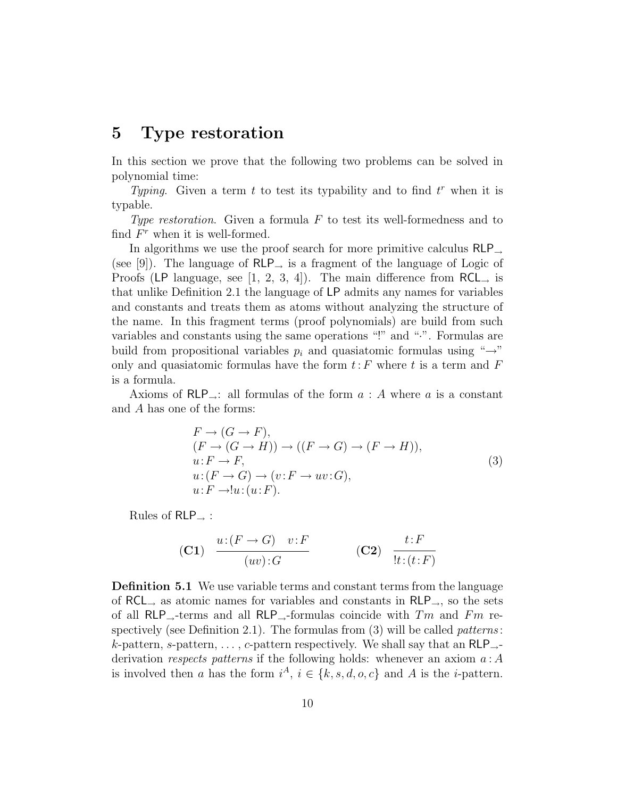#### 5 Type restoration

In this section we prove that the following two problems can be solved in polynomial time:

Typing. Given a term  $t$  to test its typability and to find  $t^r$  when it is typable.

Type restoration. Given a formula  $F$  to test its well-formedness and to find  $F^r$  when it is well-formed.

In algorithms we use the proof search for more primitive calculus RLP<sup>→</sup> (see [9]). The language of  $RLP_$  is a fragment of the language of Logic of Proofs (LP language, see [1, 2, 3, 4]). The main difference from  $RCL_{\rightarrow}$  is that unlike Definition 2.1 the language of LP admits any names for variables and constants and treats them as atoms without analyzing the structure of the name. In this fragment terms (proof polynomials) are build from such variables and constants using the same operations "!" and "·". Formulas are build from propositional variables  $p_i$  and quasiatomic formulas using " $\rightarrow$ " only and quasiatomic formulas have the form  $t$ : F where t is a term and F is a formula.

Axioms of  $RLP_{\rightarrow}$ : all formulas of the form  $a : A$  where a is a constant and A has one of the forms:

$$
F \to (G \to F),(F \to (G \to H)) \to ((F \to G) \to (F \to H)),u: F \to F,u: (F \to G) \to (v: F \to uv: G),u: F \to!u: (u: F).
$$
\n(3)

Rules of  $RLP$  :

$$
\begin{array}{cc}\n\text{(C1)} & \frac{u:(F \to G) \quad v:F}{(uv):G}\n\end{array}\n\qquad\n\begin{array}{cc}\n\text{(C2)} & \frac{t:F}{!t:(t:F)}\n\end{array}
$$

Definition 5.1 We use variable terms and constant terms from the language of RCL<sub>→</sub> as atomic names for variables and constants in RLP<sub>→</sub>, so the sets of all RLP<sub>→</sub>-terms and all RLP<sub>→</sub>-formulas coincide with  $Tm$  and  $Fm$  respectively (see Definition 2.1). The formulas from  $(3)$  will be called *patterns*: k-pattern, s-pattern, ..., c-pattern respectively. We shall say that an  $RLP_{\rightarrow}$ derivation respects patterns if the following holds: whenever an axiom  $a : A$ is involved then a has the form  $i^A$ ,  $i \in \{k, s, d, o, c\}$  and A is the *i*-pattern.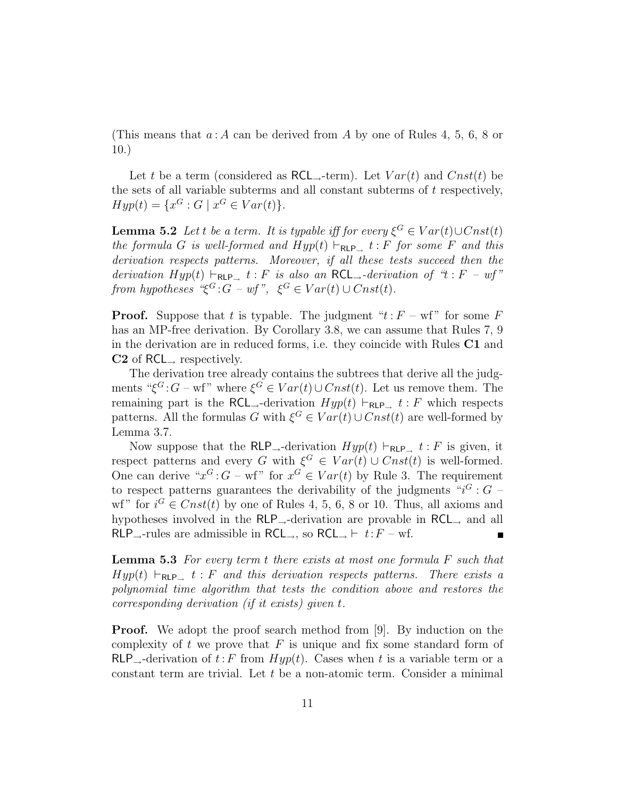(This means that  $a: A$  can be derived from A by one of Rules 4, 5, 6, 8 or 10.)

Let t be a term (considered as RCL<sub>→</sub>-term). Let  $Var(t)$  and  $Cnst(t)$  be the sets of all variable subterms and all constant subterms of  $t$  respectively,  $Hyp(t) = \{x^G : G \mid x^G \in Var(t)\}.$ 

**Lemma 5.2** Let t be a term. It is typable iff for every  $\xi^G \in Var(t) \cup Const(t)$ the formula G is well-formed and  $Hyp(t) \vdash_{\text{RLP}_+} t : F$  for some F and this derivation respects patterns. Moreover, if all these tests succeed then the derivation  $Hyp(t) \vdash_{\text{RLP}_{\rightarrow}} t : F$  is also an RCL<sub>→</sub>-derivation of "t : F – wf" from hypotheses " $\xi^G$ :  $G - wf$ ",  $\xi^G \in Var(t) \cup Const(t)$ .

**Proof.** Suppose that t is typable. The judgment " $t$ :  $F - wf$ " for some F has an MP-free derivation. By Corollary 3.8, we can assume that Rules 7, 9 in the derivation are in reduced forms, i.e. they coincide with Rules C1 and  $C2$  of RCL<sub>→</sub> respectively.

The derivation tree already contains the subtrees that derive all the judgments " $\xi^G$ :  $G$  – wf" where  $\xi^G \in Var(t) \cup Const(t)$ . Let us remove them. The remaining part is the RCL<sub>→</sub>-derivation  $Hyp(t) \vdash_{RLP_{\rightarrow}} t : F$  which respects patterns. All the formulas G with  $\xi^G \in Var(t) \cup Const(t)$  are well-formed by Lemma 3.7.

Now suppose that the RLP<sub>→</sub>-derivation  $Hyp(t) \vdash_{RLP\rightarrow} t : F$  is given, it respect patterns and every G with  $\xi^G \in Var(t) \cup Const(t)$  is well-formed. One can derive " $x^G$ :  $G$  – wf" for  $x^G \in Var(t)$  by Rule 3. The requirement to respect patterns guarantees the derivability of the judgments " $i<sup>G</sup>$  :  $G$  wf" for  $i^G \in Const(t)$  by one of Rules 4, 5, 6, 8 or 10. Thus, all axioms and hypotheses involved in the  $RLP_{\rightarrow}$ -derivation are provable in  $RCL_{\rightarrow}$  and all RLP<sub>→</sub>-rules are admissible in RCL<sub>→</sub>, so RCL<sub>→</sub>  $\vdash t$ : F – wf.

**Lemma 5.3** For every term t there exists at most one formula  $F$  such that  $Hyp(t) \vdash_{\text{RLP}_+} t : F$  and this derivation respects patterns. There exists a polynomial time algorithm that tests the condition above and restores the corresponding derivation (if it exists) given t.

**Proof.** We adopt the proof search method from [9]. By induction on the complexity of  $t$  we prove that  $F$  is unique and fix some standard form of  $RLP_{\rightarrow}$ -derivation of  $t$ : F from  $Hyp(t)$ . Cases when t is a variable term or a constant term are trivial. Let  $t$  be a non-atomic term. Consider a minimal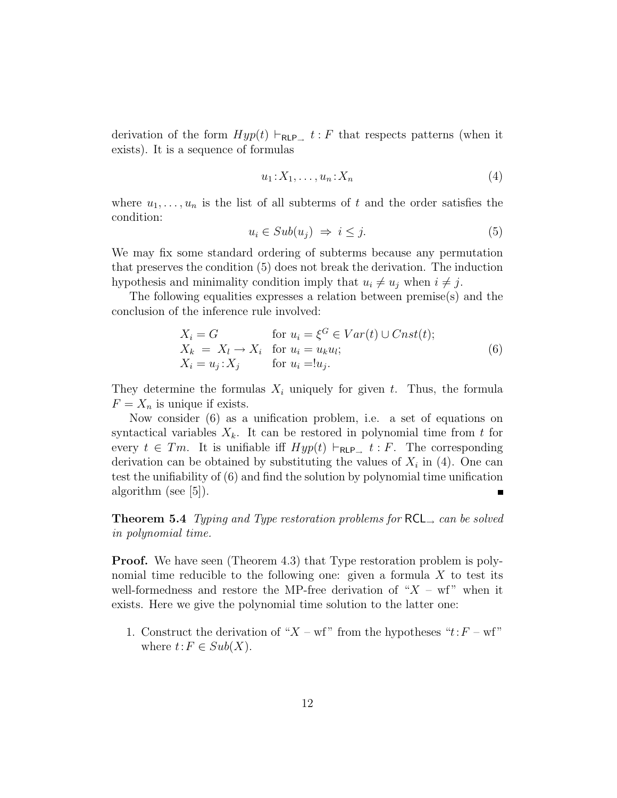derivation of the form  $Hyp(t) \vdash_{\text{RLP}_+} t : F$  that respects patterns (when it exists). It is a sequence of formulas

$$
u_1: X_1, \ldots, u_n: X_n \tag{4}
$$

where  $u_1, \ldots, u_n$  is the list of all subterms of t and the order satisfies the condition:

$$
u_i \in Sub(u_j) \implies i \leq j. \tag{5}
$$

We may fix some standard ordering of subterms because any permutation that preserves the condition (5) does not break the derivation. The induction hypothesis and minimality condition imply that  $u_i \neq u_j$  when  $i \neq j$ .

The following equalities expresses a relation between premise(s) and the conclusion of the inference rule involved:

$$
X_i = G \qquad \text{for } u_i = \xi^G \in Var(t) \cup Const(t);
$$
  
\n
$$
X_k = X_l \to X_i \quad \text{for } u_i = u_k u_l;
$$
  
\n
$$
X_i = u_j : X_j \qquad \text{for } u_i = u_j.
$$
\n(6)

They determine the formulas  $X_i$  uniquely for given t. Thus, the formula  $F = X_n$  is unique if exists.

Now consider (6) as a unification problem, i.e. a set of equations on syntactical variables  $X_k$ . It can be restored in polynomial time from t for every  $t \in T_m$ . It is unifiable iff  $Hyp(t) \vdash_{\mathsf{RLP}_\rightarrow} t : F$ . The corresponding derivation can be obtained by substituting the values of  $X_i$  in (4). One can test the unifiability of (6) and find the solution by polynomial time unification algorithm (see  $|5|$ ).

**Theorem 5.4** Typing and Type restoration problems for  $RCL$ , can be solved in polynomial time.

**Proof.** We have seen (Theorem 4.3) that Type restoration problem is polynomial time reducible to the following one: given a formula  $X$  to test its well-formedness and restore the MP-free derivation of " $X - \text{wf}$ " when it exists. Here we give the polynomial time solution to the latter one:

1. Construct the derivation of " $X - wf$ " from the hypotheses " $t$ :  $F - wf$ " where  $t: F \in Sub(X)$ .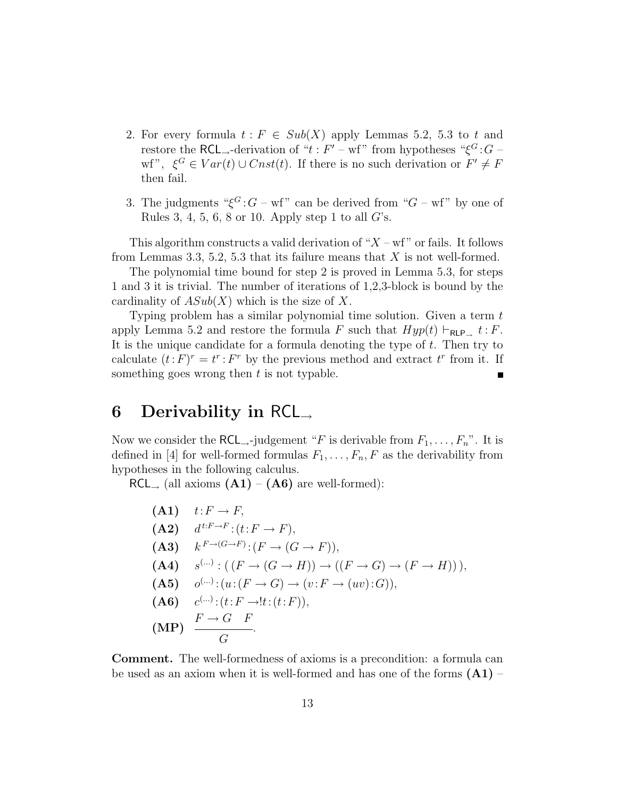- 2. For every formula  $t : F \in Sub(X)$  apply Lemmas 5.2, 5.3 to t and restore the RCL<sub>→</sub>-derivation of " $t$ :  $F'$  – wf" from hypotheses " $\xi$ <sup>G</sup>:  $G$  – wf",  $\xi^G \in Var(t) \cup Const(t)$ . If there is no such derivation or  $F' \neq F$ then fail.
- 3. The judgments " $\xi^G$ :  $G$  wf" can be derived from " $G$  wf" by one of Rules 3, 4, 5, 6, 8 or 10. Apply step 1 to all  $G$ 's.

This algorithm constructs a valid derivation of " $X$  – wf" or fails. It follows from Lemmas 3.3, 5.2, 5.3 that its failure means that  $X$  is not well-formed.

The polynomial time bound for step 2 is proved in Lemma 5.3, for steps 1 and 3 it is trivial. The number of iterations of 1,2,3-block is bound by the cardinality of  $ASub(X)$  which is the size of X.

Typing problem has a similar polynomial time solution. Given a term t apply Lemma 5.2 and restore the formula F such that  $Hyp(t) \vdash_{\text{RLP}\_} t : F$ . It is the unique candidate for a formula denoting the type of  $t$ . Then try to calculate  $(t: F)^r = t^r : F^r$  by the previous method and extract  $t^r$  from it. If something goes wrong then  $t$  is not typable.

### 6 Derivability in RCL<sub>→</sub>

Now we consider the RCL<sub>→</sub>-judgement "F is derivable from  $F_1, \ldots, F_n$ ". It is defined in [4] for well-formed formulas  $F_1, \ldots, F_n, F$  as the derivability from hypotheses in the following calculus.

 $RCL_{\rightarrow}$  (all axioms  $(A1) - (A6)$  are well-formed):

\n- **(A1)** 
$$
t: F \to F
$$
\n- **(A2)**  $d^{t:F \to F}: (t: F \to F)$
\n- **(A3)**  $k^{F \to (G \to F)}: (F \to (G \to F))$
\n- **(A4)**  $s^{(\ldots)}: ((F \to (G \to H)) \to ((F \to G) \to (F \to H)))$
\n- **(A5)**  $o^{(\ldots)}: (u: (F \to G) \to (v: F \to (uv): G))$
\n- **(A6)**  $c^{(\ldots)}: (t: F \to !t: (t: F))$
\n- **(MP)**  $\frac{F \to G \quad F}{G}$
\n

Comment. The well-formedness of axioms is a precondition: a formula can be used as an axiom when it is well-formed and has one of the forms  $(A1)$  –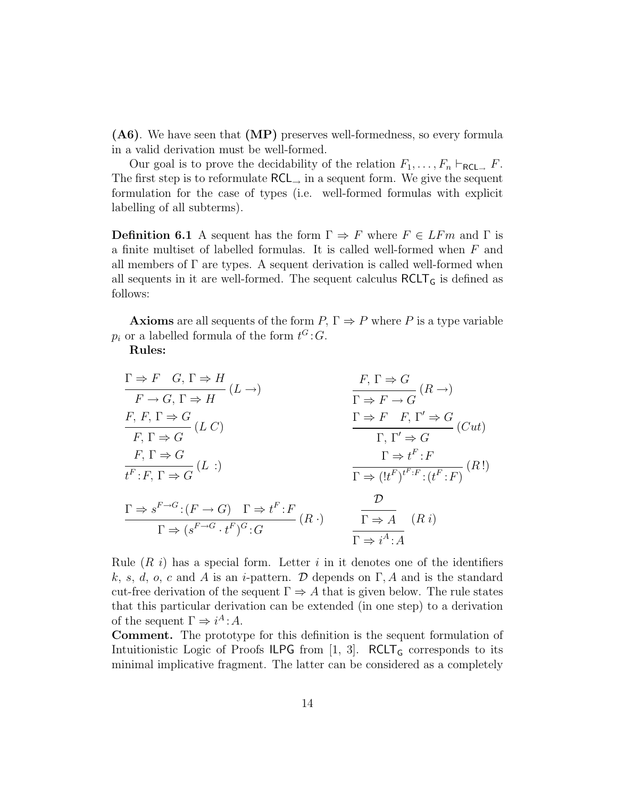(A6). We have seen that (MP) preserves well-formedness, so every formula in a valid derivation must be well-formed.

Our goal is to prove the decidability of the relation  $F_1, \ldots, F_n \vdash_{\mathsf{RCL}\_\sim} F$ . The first step is to reformulate  $RCL$ , in a sequent form. We give the sequent formulation for the case of types (i.e. well-formed formulas with explicit labelling of all subterms).

**Definition 6.1** A sequent has the form  $\Gamma \Rightarrow F$  where  $F \in LF$  and  $\Gamma$  is a finite multiset of labelled formulas. It is called well-formed when F and all members of  $\Gamma$  are types. A sequent derivation is called well-formed when all sequents in it are well-formed. The sequent calculus  $RCLT<sub>G</sub>$  is defined as follows:

**Axioms** are all sequents of the form  $P, \Gamma \Rightarrow P$  where P is a type variable  $p_i$  or a labelled formula of the form  $t^G$ : G.

Rules:

$$
\frac{\Gamma \Rightarrow F \quad G, \Gamma \Rightarrow H}{F \rightarrow G, \Gamma \Rightarrow H} (L \rightarrow)
$$
\n
$$
\frac{F, \Gamma \Rightarrow G}{\Gamma \Rightarrow F \rightarrow G} (R \rightarrow)
$$
\n
$$
\frac{F, \Gamma \Rightarrow G}{\Gamma \Rightarrow F \rightarrow G} (L \cap)
$$
\n
$$
\frac{F, \Gamma \Rightarrow G}{\Gamma, \Gamma' \Rightarrow G} (L \cap)
$$
\n
$$
\frac{F, \Gamma \Rightarrow G}{\Gamma, \Gamma' \Rightarrow G} (Cut)
$$
\n
$$
\frac{F, \Gamma \Rightarrow G}{\Gamma, \Gamma' \Rightarrow G} (Cut)
$$
\n
$$
\frac{F, \Gamma \Rightarrow G}{\Gamma, \Gamma' \Rightarrow G} (Cut)
$$
\n
$$
\frac{F, \Gamma \Rightarrow G}{\Gamma \Rightarrow F \quad F, \Gamma' \Rightarrow G} (Cut)
$$
\n
$$
\frac{F, \Gamma \Rightarrow G}{\Gamma \Rightarrow F \quad F, \Gamma' \Rightarrow G} (Cut)
$$
\n
$$
\frac{F, \Gamma \Rightarrow G}{\Gamma \Rightarrow F \quad F, \Gamma' \Rightarrow G} (Cut)
$$
\n
$$
\frac{F, \Gamma \Rightarrow G}{\Gamma \Rightarrow F \quad F, \Gamma' \Rightarrow G} (Cut)
$$
\n
$$
\frac{F, \Gamma \Rightarrow G}{\Gamma \Rightarrow F \quad F, \Gamma' \Rightarrow G} (Cut)
$$
\n
$$
\frac{F, \Gamma \Rightarrow G}{\Gamma \Rightarrow F \quad F, \Gamma' \Rightarrow G} (Cut)
$$
\n
$$
\frac{F, \Gamma \Rightarrow G}{\Gamma \Rightarrow F \quad F, \Gamma' \Rightarrow G} (Cut)
$$
\n
$$
\frac{F, \Gamma \Rightarrow G}{\Gamma \Rightarrow F \quad F, \Gamma' \Rightarrow G} (Cut)
$$
\n
$$
\frac{F, \Gamma \Rightarrow G}{\Gamma \Rightarrow F \quad F, \Gamma' \Rightarrow G} (Cut)
$$
\n
$$
\frac{F, \Gamma \Rightarrow G}{\Gamma \Rightarrow F \quad F, \Gamma' \Rightarrow G} (Cut)
$$

Rule  $(R \, i)$  has a special form. Letter i in it denotes one of the identifiers k, s, d, o, c and A is an i-pattern. D depends on  $\Gamma$ , A and is the standard cut-free derivation of the sequent  $\Gamma \Rightarrow A$  that is given below. The rule states that this particular derivation can be extended (in one step) to a derivation of the sequent  $\Gamma \Rightarrow i^A : A$ .

Comment. The prototype for this definition is the sequent formulation of Intuitionistic Logic of Proofs ILPG from  $[1, 3]$ . RCLT<sub>G</sub> corresponds to its minimal implicative fragment. The latter can be considered as a completely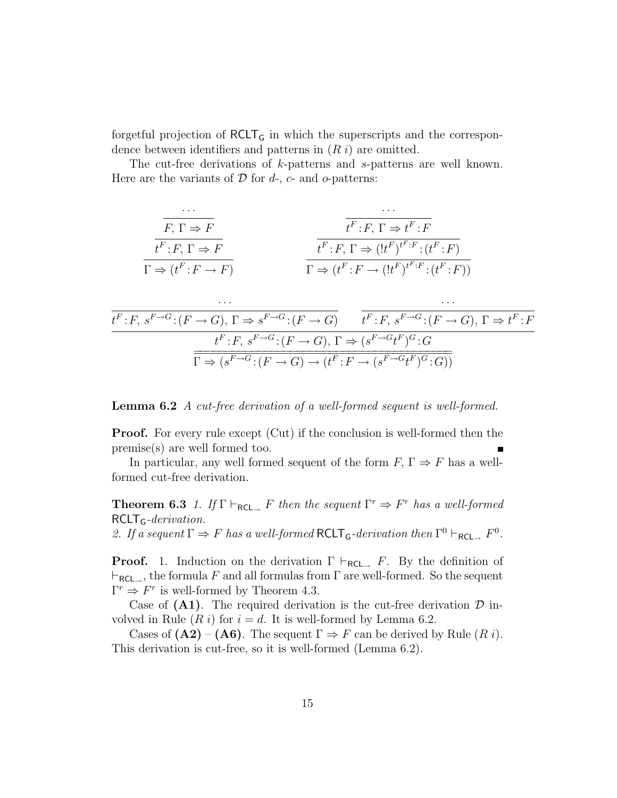forgetful projection of  $RCLT<sub>G</sub>$  in which the superscripts and the correspondence between identifiers and patterns in  $(R i)$  are omitted.

The cut-free derivations of k-patterns and s-patterns are well known. Here are the variants of  $D$  for  $d$ -,  $c$ - and  $o$ -patterns:

$$
\frac{\overbrace{t^F : F, \Gamma \Rightarrow F}^{\cdots}}{\Gamma \Rightarrow (t^F : F \to F)} \qquad \qquad \frac{\overbrace{t^F : F, \Gamma \Rightarrow t^F : F}^{\cdots}}{\Gamma \Rightarrow (t^F : F \to F)} \qquad \qquad \frac{\overbrace{t^F : F, \Gamma \Rightarrow (t^F)^{t^F : F} : (t^F : F)}^{\cdots}}{\Gamma \Rightarrow (t^F : F \to (t^F)^{t^F : F} : (t^F : F))}
$$

$$
\frac{\overbrace{t^F : F, s^{F \to G} : (F \to G), \Gamma \Rightarrow s^{F \to G} : (F \to G)}^{\text{tr.}} \overbrace{t^F : F, s^{F \to G} : (F \to G), \Gamma \Rightarrow t^F : F}_{t^F : F, s^{F \to G} : (F \to G), \Gamma \Rightarrow (s^{F \to G} t^F)^G : G}^{\text{tr.}}}{\overbrace{\Gamma \Rightarrow (s^{F \to G} : (F \to G) \to (t^F : F \to (s^{F \to G} t^F)^G : G))}^{\text{tr.}}}
$$

Lemma 6.2 A cut-free derivation of a well-formed sequent is well-formed.

**Proof.** For every rule except (Cut) if the conclusion is well-formed then the premise(s) are well formed too.

In particular, any well formed sequent of the form  $F, \Gamma \Rightarrow F$  has a wellformed cut-free derivation.

**Theorem 6.3** 1. If  $\Gamma \vdash_{\text{RCL}\rightarrow} F$  then the sequent  $\Gamma^r \Rightarrow F^r$  has a well-formed  $RCLT_G-derivation$ .

2. If a sequent  $\Gamma \Rightarrow F$  has a well-formed  $RCLT_G$ -derivation then  $\Gamma^0 \vdash_{RCL \rightarrow} F^0$ .

**Proof.** 1. Induction on the derivation  $\Gamma \vdash_{\mathsf{RCL}\rightarrow} F$ . By the definition of  $\vdash_{\mathsf{RCL}\_\flat}$ , the formula F and all formulas from  $\Gamma$  are well-formed. So the sequent  $\Gamma^r \Rightarrow F^r$  is well-formed by Theorem 4.3.

Case of  $(A1)$ . The required derivation is the cut-free derivation  $D$  involved in Rule  $(R i)$  for  $i = d$ . It is well-formed by Lemma 6.2.

Cases of  $(A2) - (A6)$ . The sequent  $\Gamma \Rightarrow F$  can be derived by Rule  $(R i)$ . This derivation is cut-free, so it is well-formed (Lemma 6.2).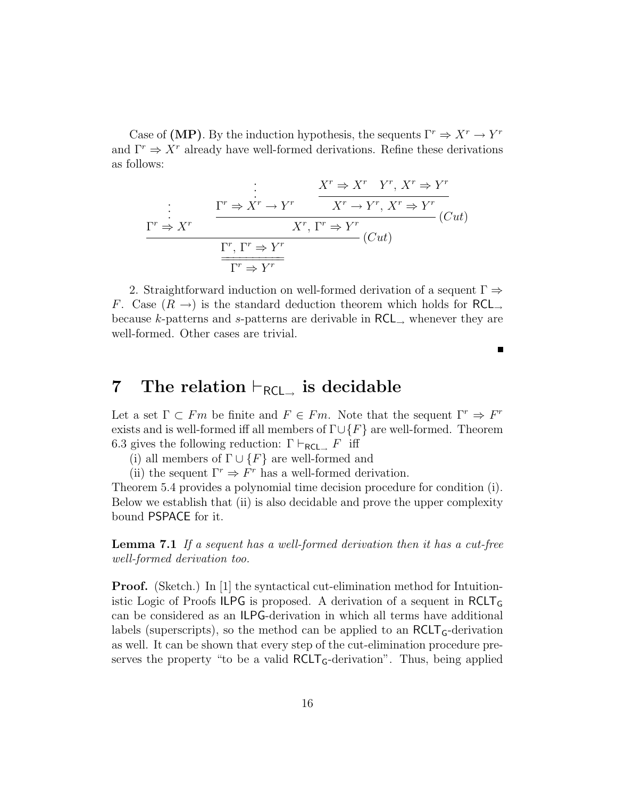Case of (MP). By the induction hypothesis, the sequents  $\Gamma^r \Rightarrow X^r \to Y^r$ and  $\Gamma^r \Rightarrow X^r$  already have well-formed derivations. Refine these derivations as follows:

$$
\begin{array}{c}\n\vdots & X^r \Rightarrow X^r \quad Y^r, \ X^r \Rightarrow Y^r \\
\hline\n\vdots & \Gamma^r \Rightarrow X^r \quad X^r \to Y^r, \ X^r \Rightarrow Y^r \\
\hline\n\Gamma^r \Rightarrow X^r & X^r, \ \Gamma^r \Rightarrow Y^r \quad (Cut) \\
\hline\n\Gamma^r, \ \Gamma^r \Rightarrow Y^r & \\
\hline\n\Gamma^r \Rightarrow Y^r & \\
\hline\n\Gamma^r \Rightarrow Y^r\n\end{array}
$$

2. Straightforward induction on well-formed derivation of a sequent  $\Gamma \Rightarrow$ F. Case  $(R \rightarrow)$  is the standard deduction theorem which holds for RCL<sub>→</sub> because k-patterns and s-patterns are derivable in  $RCL$ , whenever they are well-formed. Other cases are trivial.

 $\blacksquare$ 

## 7 The relation  $\vdash_{\mathsf{RCL}}$  is decidable

Let a set  $\Gamma \subset Fm$  be finite and  $F \in Fm$ . Note that the sequent  $\Gamma^r \Rightarrow F^r$ exists and is well-formed iff all members of  $\Gamma \cup \{F\}$  are well-formed. Theorem 6.3 gives the following reduction:  $\Gamma \vdash_{\mathsf{RCL}\_} F$  iff

(i) all members of  $\Gamma \cup \{F\}$  are well-formed and

(ii) the sequent  $\Gamma^r \Rightarrow F^r$  has a well-formed derivation.

Theorem 5.4 provides a polynomial time decision procedure for condition (i). Below we establish that (ii) is also decidable and prove the upper complexity bound PSPACE for it.

Lemma 7.1 If a sequent has a well-formed derivation then it has a cut-free well-formed derivation too.

**Proof.** (Sketch.) In [1] the syntactical cut-elimination method for Intuitionistic Logic of Proofs ILPG is proposed. A derivation of a sequent in  $RCLT<sub>G</sub>$ can be considered as an ILPG-derivation in which all terms have additional labels (superscripts), so the method can be applied to an  $RCLT_G$ -derivation as well. It can be shown that every step of the cut-elimination procedure preserves the property "to be a valid  $RCLT_G$ -derivation". Thus, being applied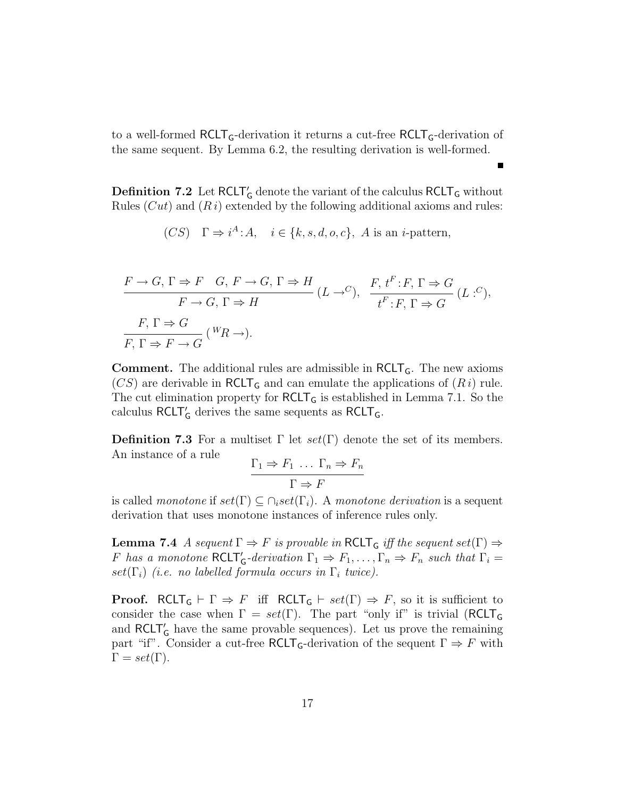to a well-formed  $\text{RCLT}_G$ -derivation it returns a cut-free  $\text{RCLT}_G$ -derivation of the same sequent. By Lemma 6.2, the resulting derivation is well-formed.

**Definition 7.2** Let  $RCLT<sub>G</sub>$  denote the variant of the calculus  $RCLT<sub>G</sub>$  without Rules  $(Cut)$  and  $(R i)$  extended by the following additional axioms and rules:

(CS) 
$$
\Gamma \Rightarrow i^A:A, \quad i \in \{k, s, d, o, c\}, \ A \text{ is an } i\text{-pattern},
$$

$$
\frac{F \to G, \Gamma \Rightarrow F \quad G, \ F \to G, \ \Gamma \Rightarrow H}{F \to G, \ \Gamma \Rightarrow H} (L \to^C), \quad \frac{F, \ t^F : F, \ \Gamma \Rightarrow G}{t^F : F, \ \Gamma \Rightarrow G} (L :^C),
$$
  

$$
\frac{F, \ \Gamma \Rightarrow G}{F, \ \Gamma \Rightarrow F \to G} (^W \! R \to).
$$

**Comment.** The additional rules are admissible in  $RCLT<sub>G</sub>$ . The new axioms  $(CS)$  are derivable in RCLT<sub>G</sub> and can emulate the applications of  $(R i)$  rule. The cut elimination property for  $RCLT<sub>G</sub>$  is established in Lemma 7.1. So the calculus $\mathsf{RCLT}_\mathsf{G}'$  derives the same sequents as  $\mathsf{RCLT}_\mathsf{G}.$ 

**Definition 7.3** For a multiset  $\Gamma$  let  $set(\Gamma)$  denote the set of its members. An instance of a rule

$$
\frac{\Gamma_1 \Rightarrow F_1 \dots \Gamma_n \Rightarrow F_n}{\Gamma \Rightarrow F}
$$

is called monotone if  $set(\Gamma) \subseteq \cap_i set(\Gamma_i)$ . A monotone derivation is a sequent derivation that uses monotone instances of inference rules only.

**Lemma 7.4** A sequent  $\Gamma \Rightarrow F$  is provable in  $RCLT_G$  iff the sequent set  $(\Gamma) \Rightarrow$ F has a monotone  $RCLT'_{G}$ -derivation  $\Gamma_1 \Rightarrow F_1, \ldots, \Gamma_n \Rightarrow F_n$  such that  $\Gamma_i =$  $set(\Gamma_i)$  (i.e. no labelled formula occurs in  $\Gamma_i$  twice).

**Proof.** RCLT<sub>G</sub>  $\vdash \Gamma \Rightarrow F$  iff RCLT<sub>G</sub>  $\vdash set(\Gamma) \Rightarrow F$ , so it is sufficient to consider the case when  $\Gamma = set(\Gamma)$ . The part "only if" is trivial (RCLT<sub>G</sub> and  $RCLT'_{G}$  have the same provable sequences). Let us prove the remaining part "if". Consider a cut-free  $RCLT_G$ -derivation of the sequent  $\Gamma \Rightarrow F$  with  $\Gamma = set(\Gamma).$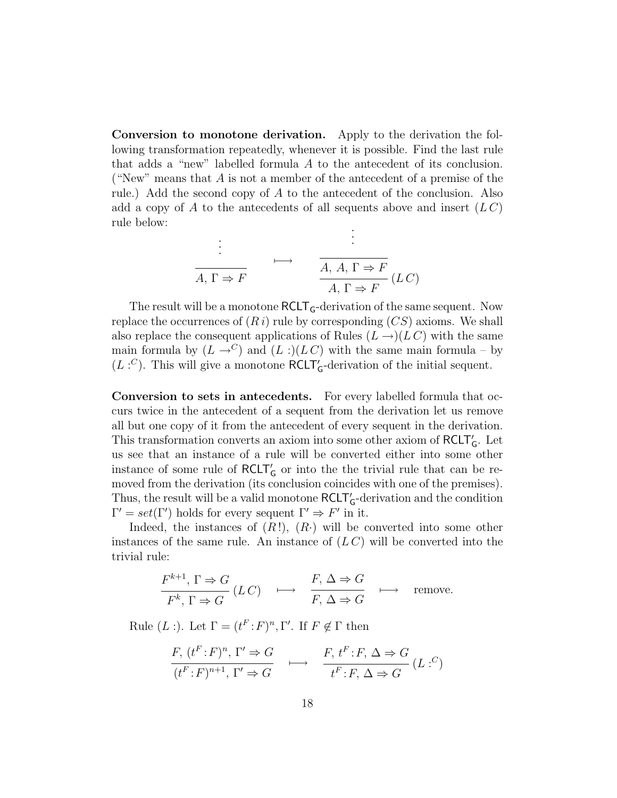Conversion to monotone derivation. Apply to the derivation the following transformation repeatedly, whenever it is possible. Find the last rule that adds a "new" labelled formula A to the antecedent of its conclusion. ("New" means that  $A$  is not a member of the antecedent of a premise of the rule.) Add the second copy of  $A$  to the antecedent of the conclusion. Also add a copy of A to the antecedents of all sequents above and insert  $(L C)$ rule below: ·

$$
\vdots
$$
\n
$$
\overrightarrow{A, \Gamma \Rightarrow F} \qquad \xrightarrow{\vdots}
$$
\n
$$
\overrightarrow{A, A, \Gamma \Rightarrow F} (LC)
$$
\n
$$
\overrightarrow{A, \Gamma \Rightarrow F} (LC)
$$

The result will be a monotone  $RCLT_G$ -derivation of the same sequent. Now replace the occurrences of  $(R i)$  rule by corresponding  $(C S)$  axioms. We shall also replace the consequent applications of Rules  $(L \rightarrow)(LC)$  with the same main formula by  $(L \rightarrow C)$  and  $(L :)(LC)$  with the same main formula – by  $(L: C)$ . This will give a monotone **RCLT**'<sub>G</sub>-derivation of the initial sequent.

Conversion to sets in antecedents. For every labelled formula that occurs twice in the antecedent of a sequent from the derivation let us remove all but one copy of it from the antecedent of every sequent in the derivation. This transformation converts an axiom into some other axiom of  $\mathsf{RCLT}_G'$  . Let us see that an instance of a rule will be converted either into some other instance of some rule of  $RCLT'_{G}$  or into the the trivial rule that can be removed from the derivation (its conclusion coincides with one of the premises). Thus, the result will be a valid monotone  $\mathsf{RCLT}'_\mathsf{G}\text{-}\text{derivation}$  and the condition  $\Gamma' = set(\Gamma')$  holds for every sequent  $\Gamma' \Rightarrow F'$  in it.

Indeed, the instances of  $(R!)$ ,  $(R)$  will be converted into some other instances of the same rule. An instance of  $(LC)$  will be converted into the trivial rule:

$$
\frac{F^{k+1}, \Gamma \Rightarrow G}{F^k, \Gamma \Rightarrow G} (LC) \longrightarrow \frac{F, \Delta \Rightarrow G}{F, \Delta \Rightarrow G} \longrightarrow \text{remove.}
$$

Rule  $(L:$ ). Let  $\Gamma = (t^F : F)^n, \Gamma'$ . If  $F \notin \Gamma$  then

$$
\frac{F, (t^F : F)^n, \Gamma' \Rightarrow G}{(t^F : F)^{n+1}, \Gamma' \Rightarrow G} \longrightarrow \frac{F, t^F : F, \Delta \Rightarrow G}{t^F : F, \Delta \Rightarrow G} (L : C)
$$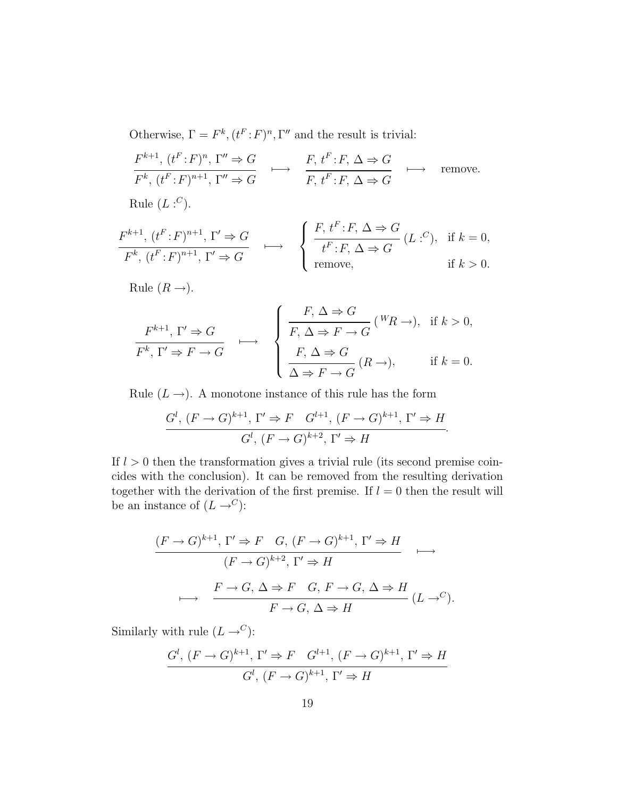Otherwise,  $\Gamma = F^k$ ,  $(t^F : F)^n$ ,  $\Gamma''$  and the result is trivial:

$$
\frac{F^{k+1}, (t^F:F)^n, \Gamma'' \Rightarrow G}{F^k, (t^F:F)^{n+1}, \Gamma'' \Rightarrow G} \longrightarrow \frac{F, t^F:F, \Delta \Rightarrow G}{F, t^F:F, \Delta \Rightarrow G} \longrightarrow \text{remove.}
$$

Rule  $(L:^C)$ .

$$
\frac{F^{k+1}, (t^F:F)^{n+1}, \Gamma' \Rightarrow G}{F^k, (t^F:F)^{n+1}, \Gamma' \Rightarrow G} \longmapsto \begin{cases} \frac{F, t^F:F, \Delta \Rightarrow G}{t^F:F, \Delta \Rightarrow G} (L : C), & \text{if } k = 0, \\ \text{remove}, & \text{if } k > 0. \end{cases}
$$

Rule  $(R \rightarrow)$ .

$$
\overbrace{F^k, \Gamma' \Rightarrow F \to G}^{F^{k+1}, \Gamma' \Rightarrow G} \longrightarrow \begin{cases} \frac{F, \Delta \Rightarrow G}{F, \Delta \Rightarrow F \to G} \, ({}^W \! R \to), & \text{if } k > 0, \\ \frac{F, \Delta \Rightarrow F \to G}{\Delta \Rightarrow F \to G} \, (R \to), & \text{if } k = 0. \end{cases}
$$

Rule  $(L \rightarrow)$ . A monotone instance of this rule has the form

$$
\frac{G^l, (F \to G)^{k+1}, \Gamma' \Rightarrow F \quad G^{l+1}, (F \to G)^{k+1}, \Gamma' \Rightarrow H}{G^l, (F \to G)^{k+2}, \Gamma' \Rightarrow H}.
$$

If  $l > 0$  then the transformation gives a trivial rule (its second premise coincides with the conclusion). It can be removed from the resulting derivation together with the derivation of the first premise. If  $l = 0$  then the result will be an instance of  $(L \rightarrow^C)$ :

$$
\frac{(F \to G)^{k+1}, \Gamma' \Rightarrow F \quad G, (F \to G)^{k+1}, \Gamma' \Rightarrow H}{(F \to G)^{k+2}, \Gamma' \Rightarrow H} \longrightarrow
$$
  

$$
\longrightarrow \frac{F \to G, \Delta \Rightarrow F \quad G, F \to G, \Delta \Rightarrow H}{F \to G, \Delta \Rightarrow H} (L \to^C).
$$

Similarly with rule  $(L \rightarrow^C)$ :

$$
\frac{G^l, (F \to G)^{k+1}, \Gamma' \Rightarrow F \quad G^{l+1}, (F \to G)^{k+1}, \Gamma' \Rightarrow H}{G^l, (F \to G)^{k+1}, \Gamma' \Rightarrow H}
$$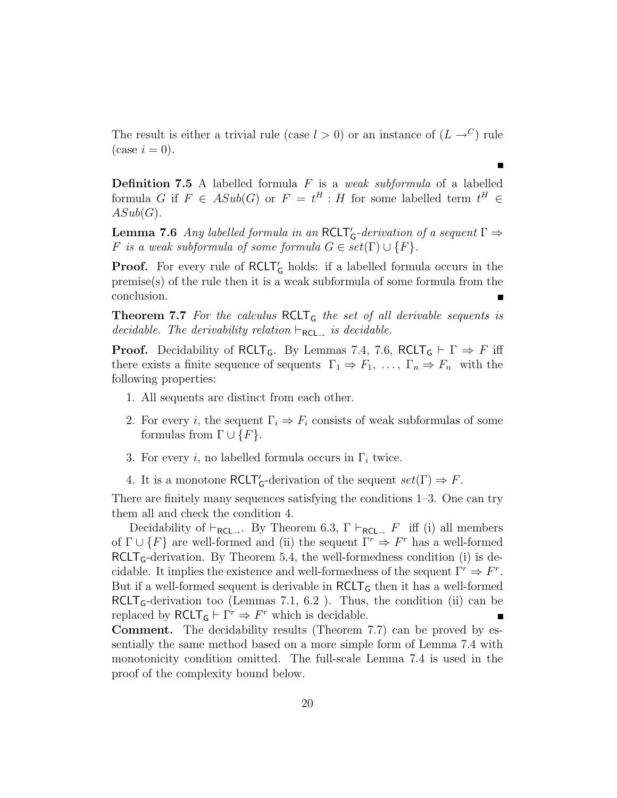The result is either a trivial rule (case  $l > 0$ ) or an instance of  $(L \rightarrow C)$  rule  $(\text{case } i = 0).$ 

**Definition 7.5** A labelled formula  $F$  is a *weak subformula* of a labelled formula G if  $F \in ASub(G)$  or  $F = t^H : H$  for some labelled term  $t^H \in$  $ASub(G).$ 

**Lemma 7.6** Any labelled formula in an RCLT'<sub>G</sub>-derivation of a sequent  $\Gamma \Rightarrow$ F is a weak subformula of some formula  $G \in set(\Gamma) \cup \{F\}.$ 

**Proof.** For every rule of  $RCLT'_{G}$  holds: if a labelled formula occurs in the premise(s) of the rule then it is a weak subformula of some formula from the conclusion.

**Theorem 7.7** For the calculus  $RCLT_G$  the set of all derivable sequents is decidable. The derivability relation  $\vdash_{\mathsf{RCL}_\rightarrow}$  is decidable.

**Proof.** Decidability of RCLT<sub>G</sub>. By Lemmas 7.4, 7.6, RCLT<sub>G</sub>  $\vdash \Gamma \Rightarrow F$  iff there exists a finite sequence of sequents  $\Gamma_1 \Rightarrow F_1, \ldots, \Gamma_n \Rightarrow F_n$  with the following properties:

- 1. All sequents are distinct from each other.
- 2. For every *i*, the sequent  $\Gamma_i \Rightarrow F_i$  consists of weak subformulas of some formulas from  $\Gamma \cup \{F\}.$
- 3. For every *i*, no labelled formula occurs in  $\Gamma_i$  twice.
- 4. It is a monotone  $\mathsf{RCLT}_\mathsf{G}$ -derivation of the sequent  $set(\Gamma) \Rightarrow F$ .

There are finitely many sequences satisfying the conditions 1–3. One can try them all and check the condition 4.

Decidability of  $\vdash_{\mathsf{RCL}\_}$ . By Theorem 6.3,  $\Gamma \vdash_{\mathsf{RCL}\_} F$  iff (i) all members of  $\Gamma \cup \{F\}$  are well-formed and (ii) the sequent  $\Gamma^r \Rightarrow F^r$  has a well-formed  $RCLT_G$ -derivation. By Theorem 5.4, the well-formedness condition (i) is decidable. It implies the existence and well-formedness of the sequent  $\Gamma^r \Rightarrow F^r$ . But if a well-formed sequent is derivable in  $RCLT<sub>G</sub>$  then it has a well-formed  $RCLT_G$ -derivation too (Lemmas 7.1, 6.2). Thus, the condition (ii) can be replaced by  $RCLT_G \vdash \Gamma^r \Rightarrow F^r$  which is decidable.

Comment. The decidability results (Theorem 7.7) can be proved by essentially the same method based on a more simple form of Lemma 7.4 with monotonicity condition omitted. The full-scale Lemma 7.4 is used in the proof of the complexity bound below.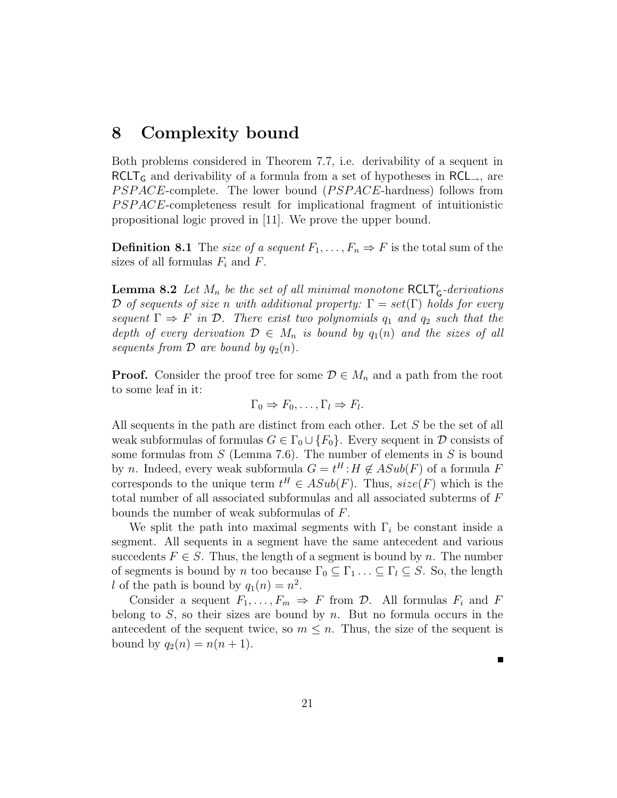## 8 Complexity bound

Both problems considered in Theorem 7.7, i.e. derivability of a sequent in  $RCLT_G$  and derivability of a formula from a set of hypotheses in  $RCL_{\rightarrow}$ , are PSPACE-complete. The lower bound (PSPACE-hardness) follows from P SP ACE-completeness result for implicational fragment of intuitionistic propositional logic proved in [11]. We prove the upper bound.

**Definition 8.1** The size of a sequent  $F_1, \ldots, F_n \Rightarrow F$  is the total sum of the sizes of all formulas  $F_i$  and  $F$ .

**Lemma 8.2** Let  $M_n$  be the set of all minimal monotone  $RCLT'_G$ -derivations D of sequents of size n with additional property:  $\Gamma = set(\Gamma)$  holds for every sequent  $\Gamma \Rightarrow F$  in  $\mathcal{D}$ . There exist two polynomials  $q_1$  and  $q_2$  such that the depth of every derivation  $\mathcal{D} \in M_n$  is bound by  $q_1(n)$  and the sizes of all sequents from  $\mathcal D$  are bound by  $q_2(n)$ .

**Proof.** Consider the proof tree for some  $\mathcal{D} \in M_n$  and a path from the root to some leaf in it:

$$
\Gamma_0 \Rightarrow F_0, \dots, \Gamma_l \Rightarrow F_l.
$$

All sequents in the path are distinct from each other. Let S be the set of all weak subformulas of formulas  $G \in \Gamma_0 \cup \{F_0\}$ . Every sequent in  $\mathcal D$  consists of some formulas from  $S$  (Lemma 7.6). The number of elements in  $S$  is bound by *n*. Indeed, every weak subformula  $G = t^H : H \notin ASub(F)$  of a formula F corresponds to the unique term  $t^H \in ASub(F)$ . Thus,  $size(F)$  which is the total number of all associated subformulas and all associated subterms of F bounds the number of weak subformulas of F.

We split the path into maximal segments with  $\Gamma_i$  be constant inside a segment. All sequents in a segment have the same antecedent and various succedents  $F \in S$ . Thus, the length of a segment is bound by n. The number of segments is bound by n too because  $\Gamma_0 \subseteq \Gamma_1 \ldots \subseteq \Gamma_l \subseteq S$ . So, the length l of the path is bound by  $q_1(n) = n^2$ .

Consider a sequent  $F_1, \ldots, F_m \Rightarrow F$  from  $\mathcal{D}$ . All formulas  $F_i$  and  $F$ belong to  $S$ , so their sizes are bound by n. But no formula occurs in the antecedent of the sequent twice, so  $m \leq n$ . Thus, the size of the sequent is bound by  $q_2(n) = n(n+1)$ .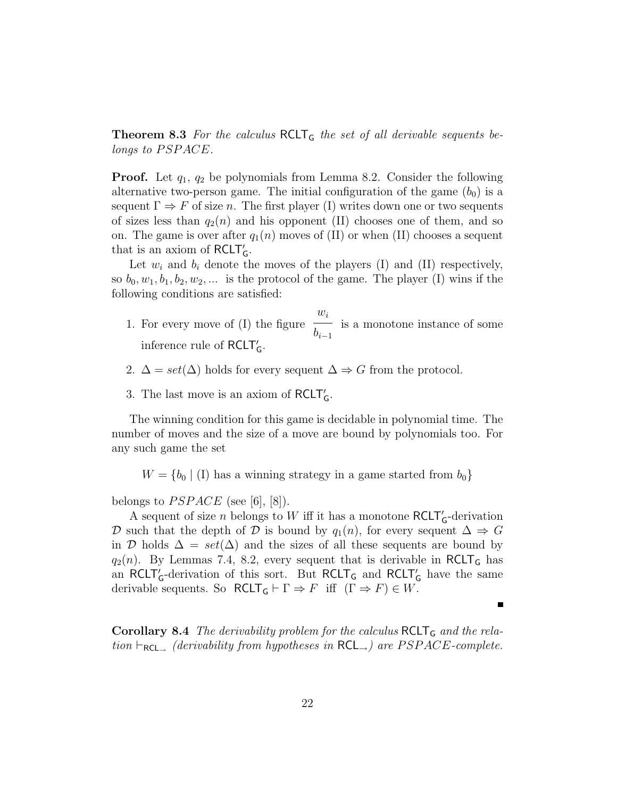**Theorem 8.3** For the calculus  $RCLT_G$  the set of all derivable sequents belongs to PSPACE.

**Proof.** Let  $q_1$ ,  $q_2$  be polynomials from Lemma 8.2. Consider the following alternative two-person game. The initial configuration of the game  $(b_0)$  is a sequent  $\Gamma \Rightarrow F$  of size n. The first player (I) writes down one or two sequents of sizes less than  $q_2(n)$  and his opponent (II) chooses one of them, and so on. The game is over after  $q_1(n)$  moves of (II) or when (II) chooses a sequent that is an axiom of  $RCLT'_{G}$ .

Let  $w_i$  and  $b_i$  denote the moves of the players (I) and (II) respectively, so  $b_0, w_1, b_1, b_2, w_2, \dots$  is the protocol of the game. The player (I) wins if the following conditions are satisfied:

- 1. For every move of (I) the figure  $w_i$  $b_{i-1}$ is a monotone instance of some inference rule of RCLT'<sub>G</sub>.
- 2.  $\Delta = set(\Delta)$  holds for every sequent  $\Delta \Rightarrow G$  from the protocol.
- 3. The last move is an axiom of  $RCLT'_{G}$ .

The winning condition for this game is decidable in polynomial time. The number of moves and the size of a move are bound by polynomials too. For any such game the set

 $W = \{b_0 | (I)$  has a winning strategy in a game started from  $b_0\}$ 

belongs to  $PSPACE$  (see [6], [8]).

A sequent of size  $n$  belongs to  $W$  iff it has a monotone  $RCLT'_{G}$ -derivation D such that the depth of D is bound by  $q_1(n)$ , for every sequent  $\Delta \Rightarrow G$ in D holds  $\Delta = set(\Delta)$  and the sizes of all these sequents are bound by  $q_2(n)$ . By Lemmas 7.4, 8.2, every sequent that is derivable in RCLT<sub>G</sub> has an  $RCLT'_{G}$ -derivation of this sort. But  $RCLT_{G}$  and  $RCLT'_{G}$  have the same derivable sequents. So  $RCLT_G \vdash \Gamma \Rightarrow F$  iff  $(\Gamma \Rightarrow F) \in W$ .

**Corollary 8.4** The derivability problem for the calculus  $RCLT_G$  and the relation  $\vdash_{\mathsf{RCL}_\rightarrow}$  (derivability from hypotheses in  $\mathsf{RCL}_\rightarrow$ ) are PSPACE-complete.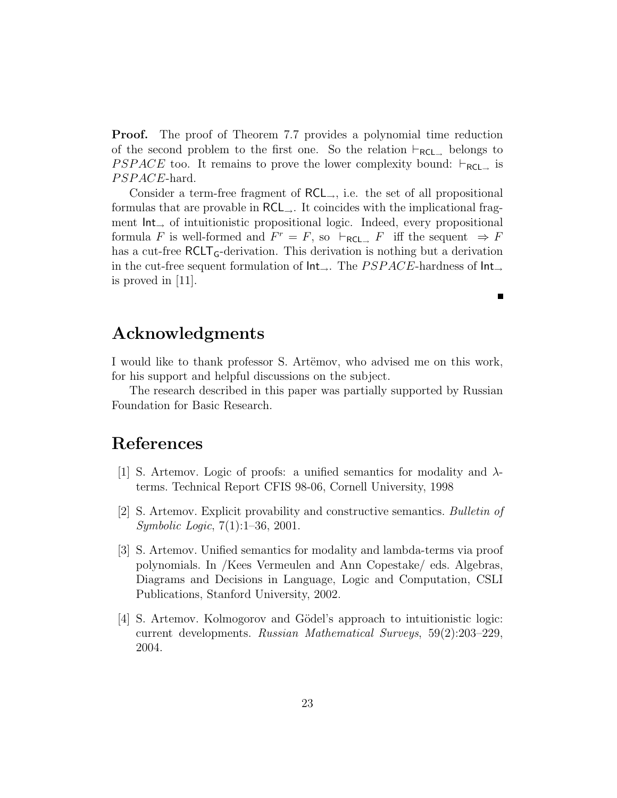**Proof.** The proof of Theorem 7.7 provides a polynomial time reduction of the second problem to the first one. So the relation  $\vdash_{\mathsf{RCL}\rightarrow}$  belongs to *PSPACE* too. It remains to prove the lower complexity bound:  $\vdash_{\mathsf{RCL}\rightarrow}$  is PSPACE-hard.

Consider a term-free fragment of  $RCL_{\rightarrow}$ , i.e. the set of all propositional formulas that are provable in  $RCL_{\rightarrow}$ . It coincides with the implicational fragment Int<sup>→</sup> of intuitionistic propositional logic. Indeed, every propositional formula F is well-formed and  $F^r = F$ , so  $\vdash_{\mathsf{RCL}\rightarrow} F$  iff the sequent  $\Rightarrow F$ has a cut-free RCLT<sub>G</sub>-derivation. This derivation is nothing but a derivation in the cut-free sequent formulation of  $Int_{\rightarrow}$ . The *PSPACE*-hardness of  $Int_{\rightarrow}$ is proved in [11].

П

### Acknowledgments

I would like to thank professor S. Artëmov, who advised me on this work, for his support and helpful discussions on the subject.

The research described in this paper was partially supported by Russian Foundation for Basic Research.

## References

- [1] S. Artemov. Logic of proofs: a unified semantics for modality and  $\lambda$ terms. Technical Report CFIS 98-06, Cornell University, 1998
- [2] S. Artemov. Explicit provability and constructive semantics. Bulletin of Symbolic Logic, 7(1):1–36, 2001.
- [3] S. Artemov. Unified semantics for modality and lambda-terms via proof polynomials. In /Kees Vermeulen and Ann Copestake/ eds. Algebras, Diagrams and Decisions in Language, Logic and Computation, CSLI Publications, Stanford University, 2002.
- [4] S. Artemov. Kolmogorov and Gödel's approach to intuitionistic logic: current developments. Russian Mathematical Surveys, 59(2):203–229, 2004.